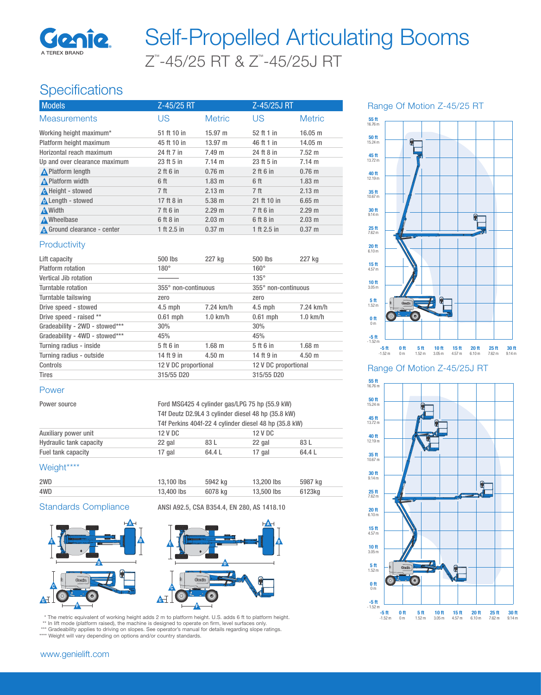

# Z™ -45/25 RT & Z™ -45/25J RT Self-Propelled Articulating Booms

## **Specifications**

| <b>Models</b>                 | Z-45/25 RT      |                   | Z-45/25J RT     |                   |
|-------------------------------|-----------------|-------------------|-----------------|-------------------|
| <b>Measurements</b>           | US              | <b>Metric</b>     | US              | <b>Metric</b>     |
| Working height maximum*       | 51 ft 10 in     | $15.97 \; m$      | 52 ft 1 in      | 16.05 m           |
| Platform height maximum       | 45 ft 10 in     | $13.97 \text{ m}$ | 46 ft 1 in      | $14.05 \text{ m}$ |
| Horizontal reach maximum      | 24 ft 7 in      | $7.49 \text{ m}$  | 24 ft 8 in      | $7.52 \text{ m}$  |
| Up and over clearance maximum | 23 ft 5 in      | $7.14 \text{ m}$  | 23 ft 5 in      | 7.14 m            |
| <b>A</b> Platform length      | $2$ ft 6 in     | $0.76$ m          | $2$ ft 6 in     | $0.76$ m          |
| A Platform width              | 6 ft            | $1.83 \; m$       | 6 ft            | $1.83$ m          |
| A Height - stowed             | 7 <sup>ft</sup> | 2.13 m            | 7 <sub>ft</sub> | 2.13 m            |
| Length - stowed               | 17 ft 8 in      | $5.38 \; m$       | 21 ft 10 in     | $6.65$ m          |
| <b>A</b> Width                | 7 ft 6 in       | 2.29 m            | 7 ft 6 in       | 2.29 m            |
| A Wheelbase                   | $6$ ft $8$ in   | $2.03 \text{ m}$  | $6$ ft $8$ in   | $2.03$ m          |
| A Ground clearance - center   | 1 ft 2.5 in     | $0.37 \; m$       | 1 ft 2.5 in     | $0.37 \; m$       |

#### **Productivity**

| Lift capacity                  | 500 lbs              | 227 kg           | $500$ lbs            | 227 kg      |
|--------------------------------|----------------------|------------------|----------------------|-------------|
| Platform rotation              | $180^\circ$          |                  | $160^\circ$          |             |
| Vertical Jib rotation          |                      |                  | $135^\circ$          |             |
| Turntable rotation             | 355° non-continuous  |                  | 355° non-continuous  |             |
| Turntable tailswing            | zero                 |                  | zero                 |             |
| Drive speed - stowed           | $4.5$ mph            | 7.24 km/h        | $4.5$ mph            | 7.24 km/h   |
| Drive speed - raised **        | $0.61$ mph           | $1.0$ km/h       | $0.61$ mph           | $1.0$ km/h  |
| Gradeability - 2WD - stowed*** | 30%                  |                  | 30%                  |             |
| Gradeability - 4WD - stowed*** | 45%                  |                  | 45%                  |             |
| Turning radius - inside        | 5 ft 6 in            | $1.68$ m         | 5 ft 6 in            | $1.68$ m    |
| Turning radius - outside       | 14 ft 9 in           | $4.50 \text{ m}$ | 14 ft 9 in           | $4.50 \; m$ |
| Controls                       | 12 V DC proportional |                  | 12 V DC proportional |             |
| <b>Tires</b>                   | 315/55 D20           |                  | 315/55 D20           |             |

#### Power

| Power source                   |         | Ford MSG425 4 cylinder gas/LPG 75 hp (55.9 kW)<br>T4f Deutz D2.9L4 3 cylinder diesel 48 hp (35.8 kW) |         |        |  |
|--------------------------------|---------|------------------------------------------------------------------------------------------------------|---------|--------|--|
|                                |         |                                                                                                      |         |        |  |
|                                |         | T4f Perkins 404f-22 4 cylinder diesel 48 hp (35.8 kW)                                                |         |        |  |
| Auxiliary power unit           | 12 V DC |                                                                                                      | 12 V DC |        |  |
| <b>Hydraulic tank capacity</b> | 22 gal  | 83 L                                                                                                 | 22 gal  | 83 L   |  |
| Fuel tank capacity             | 17 gal  | 64.4 L                                                                                               | 17 gal  | 64.4 L |  |

### Weight\*\*\*\*

| 2WD | 13.100 lbs | 5942 ka | 13,200 lbs | 5987 kg |
|-----|------------|---------|------------|---------|
| 4WD | 13,400 lbs | 6078 ka | 13,500 lbs | 6123kg  |

Standards Compliance ANSI A92.5, CSA B354.4, EN 280, AS 1418.10





\* The metric equivalent of working height adds 2 m to platform height. U.S. adds 6 ft to platform height. \*\* In lift mode (platform raised), the machine is designed to operate on firm, level surfaces only.

\*\*\* Gradeability applies to driving on slopes. See operator's manual for details regarding slope ratings.

\*\*\*\* Weight will vary depending on options and/or country standards.

## www.genielift.com





Range Of Motion Z-45/25J RT